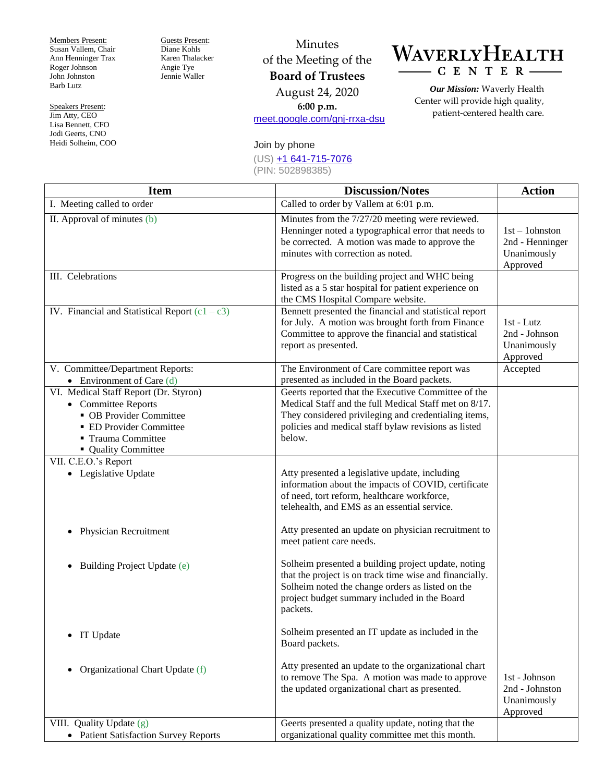Members Present: Susan Vallem, Chair Ann Henninger Trax Roger Johnson John Johnston Barb Lutz

Speakers Present: Jim Atty, CEO Lisa Bennett, CFO Jodi Geerts, CNO Heidi Solheim, COO Guests Present: Diane Kohls Karen Thalacker Angie Tye Jennie Waller

## Minutes of the Meeting of the **Board of Trustees** August 24, 2020 **6:00 p.m.** [meet.google.com/gnj-rrxa-dsu](https://meet.google.com/gnj-rrxa-dsu)

## WAVERLYHEALTH  $- C E N T E R$

*Our Mission:* Waverly Health Center will provide high quality, patient-centered health care.

## Join by phone

(US) [+1 641-715-7076](about:invalid#zSoyz)

(PIN: 502898385)

| <b>Item</b>                                                                                                                                                     | <b>Discussion/Notes</b>                                                                                                                                                                                                                | <b>Action</b>                                                   |
|-----------------------------------------------------------------------------------------------------------------------------------------------------------------|----------------------------------------------------------------------------------------------------------------------------------------------------------------------------------------------------------------------------------------|-----------------------------------------------------------------|
| I. Meeting called to order                                                                                                                                      | Called to order by Vallem at 6:01 p.m.                                                                                                                                                                                                 |                                                                 |
| II. Approval of minutes (b)                                                                                                                                     | Minutes from the 7/27/20 meeting were reviewed.<br>Henninger noted a typographical error that needs to<br>be corrected. A motion was made to approve the<br>minutes with correction as noted.                                          | $1st - 1$ ohnston<br>2nd - Henninger<br>Unanimously<br>Approved |
| III. Celebrations                                                                                                                                               | Progress on the building project and WHC being<br>listed as a 5 star hospital for patient experience on<br>the CMS Hospital Compare website.                                                                                           |                                                                 |
| IV. Financial and Statistical Report $(c1 - c3)$                                                                                                                | Bennett presented the financial and statistical report<br>for July. A motion was brought forth from Finance<br>Committee to approve the financial and statistical<br>report as presented.                                              | 1st - Lutz<br>2nd - Johnson<br>Unanimously<br>Approved          |
| V. Committee/Department Reports:<br>• Environment of Care $(d)$                                                                                                 | The Environment of Care committee report was<br>presented as included in the Board packets.                                                                                                                                            | Accepted                                                        |
| VI. Medical Staff Report (Dr. Styron)<br>• Committee Reports<br>• OB Provider Committee<br>• ED Provider Committee<br>■ Trauma Committee<br>• Quality Committee | Geerts reported that the Executive Committee of the<br>Medical Staff and the full Medical Staff met on 8/17.<br>They considered privileging and credentialing items,<br>policies and medical staff bylaw revisions as listed<br>below. |                                                                 |
| VII. C.E.O.'s Report<br>• Legislative Update                                                                                                                    | Atty presented a legislative update, including<br>information about the impacts of COVID, certificate<br>of need, tort reform, healthcare workforce,<br>telehealth, and EMS as an essential service.                                   |                                                                 |
| <b>Physician Recruitment</b><br>$\bullet$                                                                                                                       | Atty presented an update on physician recruitment to<br>meet patient care needs.                                                                                                                                                       |                                                                 |
| Building Project Update (e)<br>$\bullet$                                                                                                                        | Solheim presented a building project update, noting<br>that the project is on track time wise and financially.<br>Solheim noted the change orders as listed on the<br>project budget summary included in the Board<br>packets.         |                                                                 |
| • IT Update                                                                                                                                                     | Solheim presented an IT update as included in the<br>Board packets.                                                                                                                                                                    |                                                                 |
| Organizational Chart Update (f)<br>٠                                                                                                                            | Atty presented an update to the organizational chart<br>to remove The Spa. A motion was made to approve<br>the updated organizational chart as presented.                                                                              | 1st - Johnson<br>2nd - Johnston<br>Unanimously<br>Approved      |
| VIII. Quality Update (g)                                                                                                                                        | Geerts presented a quality update, noting that the                                                                                                                                                                                     |                                                                 |
| • Patient Satisfaction Survey Reports                                                                                                                           | organizational quality committee met this month.                                                                                                                                                                                       |                                                                 |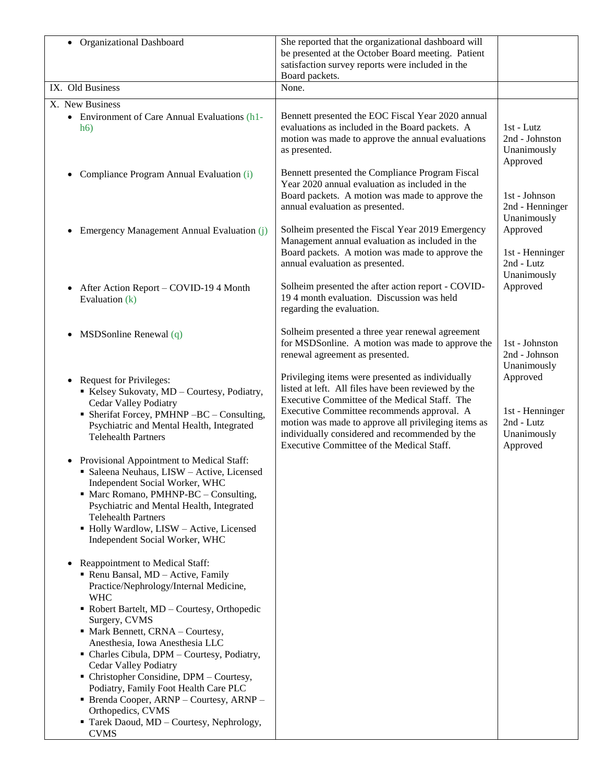| • Organizational Dashboard                                                                                                                                                                                        | She reported that the organizational dashboard will<br>be presented at the October Board meeting. Patient<br>satisfaction survey reports were included in the<br>Board packets.                  |                                                           |
|-------------------------------------------------------------------------------------------------------------------------------------------------------------------------------------------------------------------|--------------------------------------------------------------------------------------------------------------------------------------------------------------------------------------------------|-----------------------------------------------------------|
| IX. Old Business                                                                                                                                                                                                  | None.                                                                                                                                                                                            |                                                           |
| X. New Business                                                                                                                                                                                                   |                                                                                                                                                                                                  |                                                           |
| • Environment of Care Annual Evaluations (h1-<br>h6)                                                                                                                                                              | Bennett presented the EOC Fiscal Year 2020 annual<br>evaluations as included in the Board packets. A<br>motion was made to approve the annual evaluations<br>as presented.                       | $1st$ - Lutz<br>2nd - Johnston<br>Unanimously<br>Approved |
| Compliance Program Annual Evaluation (i)<br>$\bullet$                                                                                                                                                             | Bennett presented the Compliance Program Fiscal<br>Year 2020 annual evaluation as included in the<br>Board packets. A motion was made to approve the<br>annual evaluation as presented.          | 1st - Johnson<br>2nd - Henninger<br>Unanimously           |
| Emergency Management Annual Evaluation (j)<br>٠                                                                                                                                                                   | Solheim presented the Fiscal Year 2019 Emergency<br>Management annual evaluation as included in the<br>Board packets. A motion was made to approve the<br>annual evaluation as presented.        | Approved<br>1st - Henninger<br>2nd - Lutz<br>Unanimously  |
| After Action Report – COVID-19 4 Month<br>$\bullet$<br>Evaluation (k)                                                                                                                                             | Solheim presented the after action report - COVID-<br>194 month evaluation. Discussion was held<br>regarding the evaluation.                                                                     | Approved                                                  |
| $MSDSonline$ Renewal $(q)$<br>$\bullet$                                                                                                                                                                           | Solheim presented a three year renewal agreement<br>for MSDSonline. A motion was made to approve the<br>renewal agreement as presented.                                                          | 1st - Johnston<br>2nd - Johnson<br>Unanimously            |
| <b>Request for Privileges:</b><br>$\bullet$<br>Kelsey Sukovaty, MD - Courtesy, Podiatry,<br><b>Cedar Valley Podiatry</b>                                                                                          | Privileging items were presented as individually<br>listed at left. All files have been reviewed by the<br>Executive Committee of the Medical Staff. The                                         | Approved                                                  |
| • Sherifat Forcey, PMHNP -BC - Consulting,<br>Psychiatric and Mental Health, Integrated<br><b>Telehealth Partners</b>                                                                                             | Executive Committee recommends approval. A<br>motion was made to approve all privileging items as<br>individually considered and recommended by the<br>Executive Committee of the Medical Staff. | 1st - Henninger<br>2nd - Lutz<br>Unanimously<br>Approved  |
| • Provisional Appointment to Medical Staff:<br>· Saleena Neuhaus, LISW - Active, Licensed<br>Independent Social Worker, WHC<br>• Marc Romano, PMHNP-BC – Consulting,<br>Psychiatric and Mental Health, Integrated |                                                                                                                                                                                                  |                                                           |
| <b>Telehealth Partners</b><br>• Holly Wardlow, LISW - Active, Licensed<br>Independent Social Worker, WHC                                                                                                          |                                                                                                                                                                                                  |                                                           |
| Reappointment to Medical Staff:<br>$\bullet$<br>• Renu Bansal, MD - Active, Family<br>Practice/Nephrology/Internal Medicine,<br><b>WHC</b>                                                                        |                                                                                                                                                                                                  |                                                           |
| • Robert Bartelt, MD - Courtesy, Orthopedic<br>Surgery, CVMS<br>• Mark Bennett, CRNA - Courtesy,                                                                                                                  |                                                                                                                                                                                                  |                                                           |
| Anesthesia, Iowa Anesthesia LLC<br>• Charles Cibula, DPM - Courtesy, Podiatry,<br><b>Cedar Valley Podiatry</b>                                                                                                    |                                                                                                                                                                                                  |                                                           |
| • Christopher Considine, DPM – Courtesy,<br>Podiatry, Family Foot Health Care PLC<br>$\blacksquare$ Brenda Cooper, ARNP – Courtesy, ARNP –                                                                        |                                                                                                                                                                                                  |                                                           |
| Orthopedics, CVMS<br>Tarek Daoud, MD - Courtesy, Nephrology,<br><b>CVMS</b>                                                                                                                                       |                                                                                                                                                                                                  |                                                           |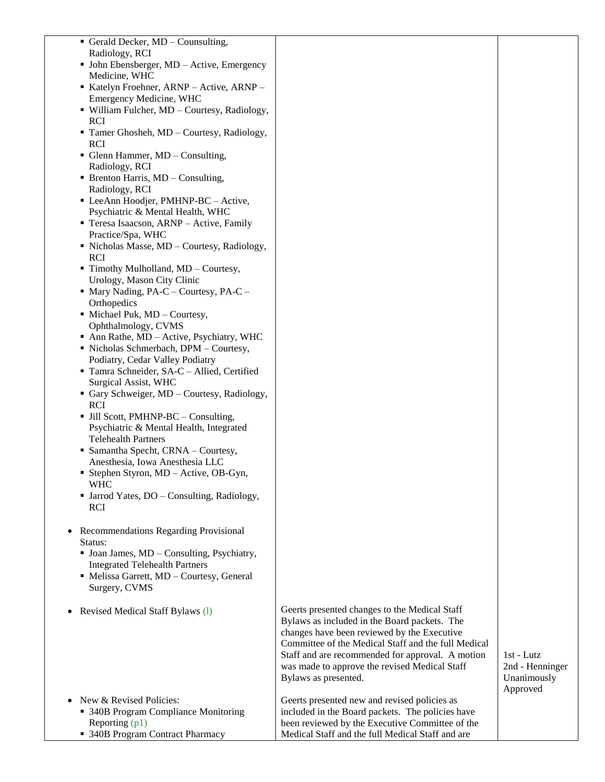- Gerald Decker,  $MD -$ Counsulting, Radiology, RCI
- John Ebensberger, MD Active, Emergency Medicine, WHC
- Katelyn Froehner, ARNP Active, ARNP -Emergency Medicine, WHC
- William Fulcher, MD Courtesy, Radiology, RCI
- Tamer Ghosheh, MD Courtesy, Radiology, RCI
- Glenn Hammer, MD Consulting, Radiology, RCI
- $\blacksquare$  Brenton Harris, MD Consulting, Radiology, RCI
- LeeAnn Hoodjer, PMHNP-BC Active, Psychiatric & Mental Health, WHC
- Teresa Isaacson, ARNP Active, Family Practice/Spa, WHC
- Nicholas Masse, MD Courtesy, Radiology, RCI
- $\blacksquare$  Timothy Mulholland, MD Courtesy, Urology, Mason City Clinic
- $\blacksquare$  Mary Nading, PA-C Courtesy, PA-C **Orthopedics**
- $\blacksquare$  Michael Puk, MD Courtesy, Ophthalmology, CVMS
- Ann Rathe, MD Active, Psychiatry, WHC
- Nicholas Schmerbach, DPM Courtesy, Podiatry, Cedar Valley Podiatry
- Tamra Schneider, SA-C Allied, Certified Surgical Assist, WHC
- Gary Schweiger, MD Courtesy, Radiology, RCI
- Jill Scott, PMHNP-BC Consulting, Psychiatric & Mental Health, Integrated Telehealth Partners
- Samantha Specht, CRNA Courtesy, Anesthesia, Iowa Anesthesia LLC
- Stephen Styron, MD Active, OB-Gyn, WHC
- Jarrod Yates, DO Consulting, Radiology, RCI
- Recommendations Regarding Provisional Status:
	- Joan James, MD Consulting, Psychiatry, Integrated Telehealth Partners
	- Melissa Garrett, MD Courtesy, General Surgery, CVMS
- Revised Medical Staff Bylaws (1)
- New & Revised Policies: 340B Program Compliance Monitoring Reporting (p1)
	- 340B Program Contract Pharmacy
- Geerts presented changes to the Medical Staff Bylaws as included in the Board packets. The changes have been reviewed by the Executive Committee of the Medical Staff and the full Medical Staff and are recommended for approval. A motion was made to approve the revised Medical Staff Bylaws as presented.
- Geerts presented new and revised policies as included in the Board packets. The policies have been reviewed by the Executive Committee of the Medical Staff and the full Medical Staff and are
- 1st Lutz 2nd - Henninger Unanimously Approved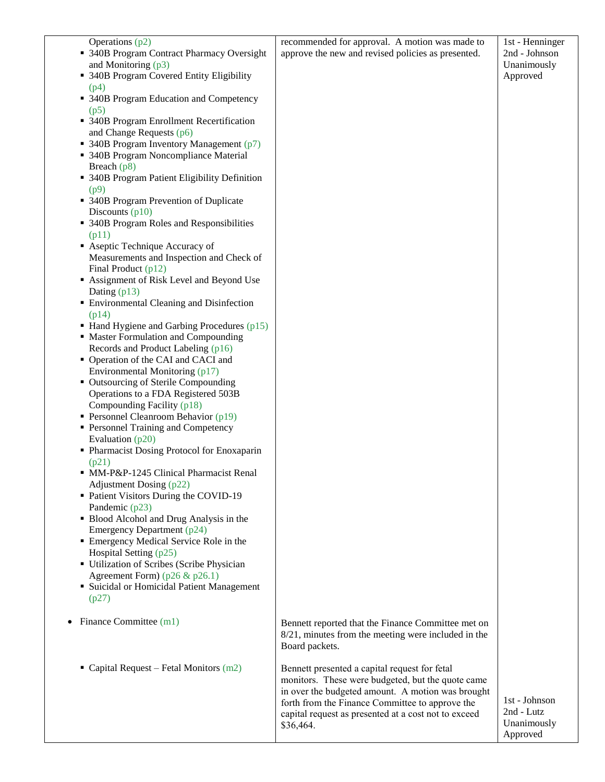| and Monitoring $(p3)$<br>Unanimously<br>• 340B Program Covered Entity Eligibility<br>Approved<br>(p4)<br>• 340B Program Education and Competency<br>(p5)<br>• 340B Program Enrollment Recertification<br>and Change Requests $(p6)$<br>• 340B Program Inventory Management (p7)<br>• 340B Program Noncompliance Material<br>Breach $(p8)$<br>• 340B Program Patient Eligibility Definition<br>(p9)<br>• 340B Program Prevention of Duplicate<br>Discounts $(p10)$<br>• 340B Program Roles and Responsibilities<br>(p11)<br>• Aseptic Technique Accuracy of<br>Measurements and Inspection and Check of<br>Final Product (p12)<br>Assignment of Risk Level and Beyond Use<br>Dating $(p13)$<br><b>Environmental Cleaning and Disinfection</b><br>(p14)<br>• Hand Hygiene and Garbing Procedures (p15)<br>• Master Formulation and Compounding<br>Records and Product Labeling (p16)<br>• Operation of the CAI and CACI and<br>Environmental Monitoring (p17)<br>• Outsourcing of Sterile Compounding<br>Operations to a FDA Registered 503B<br>Compounding Facility (p18)<br><b>Personnel Cleanroom Behavior (p19)</b><br>• Personnel Training and Competency<br>Evaluation $(p20)$<br>• Pharmacist Dosing Protocol for Enoxaparin<br>(p21)<br>• MM-P&P-1245 Clinical Pharmacist Renal<br>Adjustment Dosing (p22)<br>• Patient Visitors During the COVID-19<br>Pandemic (p23)<br>• Blood Alcohol and Drug Analysis in the<br>Emergency Department (p24)<br>• Emergency Medical Service Role in the<br>Hospital Setting (p25)<br>• Utilization of Scribes (Scribe Physician<br>Agreement Form) ( $p26 \& p26.1$ )<br>• Suicidal or Homicidal Patient Management<br>(p27)<br>Finance Committee (m1)<br>Bennett reported that the Finance Committee met on<br>$8/21$ , minutes from the meeting were included in the<br>Board packets.<br>• Capital Request – Fetal Monitors $(m2)$<br>Bennett presented a capital request for fetal<br>monitors. These were budgeted, but the quote came<br>in over the budgeted amount. A motion was brought<br>1st - Johnson<br>forth from the Finance Committee to approve the<br>2nd - Lutz<br>capital request as presented at a cost not to exceed<br>Unanimously<br>\$36,464.<br>Approved | Operations (p2)                            | recommended for approval. A motion was made to     | 1st - Henninger |
|------------------------------------------------------------------------------------------------------------------------------------------------------------------------------------------------------------------------------------------------------------------------------------------------------------------------------------------------------------------------------------------------------------------------------------------------------------------------------------------------------------------------------------------------------------------------------------------------------------------------------------------------------------------------------------------------------------------------------------------------------------------------------------------------------------------------------------------------------------------------------------------------------------------------------------------------------------------------------------------------------------------------------------------------------------------------------------------------------------------------------------------------------------------------------------------------------------------------------------------------------------------------------------------------------------------------------------------------------------------------------------------------------------------------------------------------------------------------------------------------------------------------------------------------------------------------------------------------------------------------------------------------------------------------------------------------------------------------------------------------------------------------------------------------------------------------------------------------------------------------------------------------------------------------------------------------------------------------------------------------------------------------------------------------------------------------------------------------------------------------------------------------------------------------------------------------------------------------------|--------------------------------------------|----------------------------------------------------|-----------------|
|                                                                                                                                                                                                                                                                                                                                                                                                                                                                                                                                                                                                                                                                                                                                                                                                                                                                                                                                                                                                                                                                                                                                                                                                                                                                                                                                                                                                                                                                                                                                                                                                                                                                                                                                                                                                                                                                                                                                                                                                                                                                                                                                                                                                                              | • 340B Program Contract Pharmacy Oversight | approve the new and revised policies as presented. | 2nd - Johnson   |
|                                                                                                                                                                                                                                                                                                                                                                                                                                                                                                                                                                                                                                                                                                                                                                                                                                                                                                                                                                                                                                                                                                                                                                                                                                                                                                                                                                                                                                                                                                                                                                                                                                                                                                                                                                                                                                                                                                                                                                                                                                                                                                                                                                                                                              |                                            |                                                    |                 |
|                                                                                                                                                                                                                                                                                                                                                                                                                                                                                                                                                                                                                                                                                                                                                                                                                                                                                                                                                                                                                                                                                                                                                                                                                                                                                                                                                                                                                                                                                                                                                                                                                                                                                                                                                                                                                                                                                                                                                                                                                                                                                                                                                                                                                              |                                            |                                                    |                 |
|                                                                                                                                                                                                                                                                                                                                                                                                                                                                                                                                                                                                                                                                                                                                                                                                                                                                                                                                                                                                                                                                                                                                                                                                                                                                                                                                                                                                                                                                                                                                                                                                                                                                                                                                                                                                                                                                                                                                                                                                                                                                                                                                                                                                                              |                                            |                                                    |                 |
|                                                                                                                                                                                                                                                                                                                                                                                                                                                                                                                                                                                                                                                                                                                                                                                                                                                                                                                                                                                                                                                                                                                                                                                                                                                                                                                                                                                                                                                                                                                                                                                                                                                                                                                                                                                                                                                                                                                                                                                                                                                                                                                                                                                                                              |                                            |                                                    |                 |
|                                                                                                                                                                                                                                                                                                                                                                                                                                                                                                                                                                                                                                                                                                                                                                                                                                                                                                                                                                                                                                                                                                                                                                                                                                                                                                                                                                                                                                                                                                                                                                                                                                                                                                                                                                                                                                                                                                                                                                                                                                                                                                                                                                                                                              |                                            |                                                    |                 |
|                                                                                                                                                                                                                                                                                                                                                                                                                                                                                                                                                                                                                                                                                                                                                                                                                                                                                                                                                                                                                                                                                                                                                                                                                                                                                                                                                                                                                                                                                                                                                                                                                                                                                                                                                                                                                                                                                                                                                                                                                                                                                                                                                                                                                              |                                            |                                                    |                 |
|                                                                                                                                                                                                                                                                                                                                                                                                                                                                                                                                                                                                                                                                                                                                                                                                                                                                                                                                                                                                                                                                                                                                                                                                                                                                                                                                                                                                                                                                                                                                                                                                                                                                                                                                                                                                                                                                                                                                                                                                                                                                                                                                                                                                                              |                                            |                                                    |                 |
|                                                                                                                                                                                                                                                                                                                                                                                                                                                                                                                                                                                                                                                                                                                                                                                                                                                                                                                                                                                                                                                                                                                                                                                                                                                                                                                                                                                                                                                                                                                                                                                                                                                                                                                                                                                                                                                                                                                                                                                                                                                                                                                                                                                                                              |                                            |                                                    |                 |
|                                                                                                                                                                                                                                                                                                                                                                                                                                                                                                                                                                                                                                                                                                                                                                                                                                                                                                                                                                                                                                                                                                                                                                                                                                                                                                                                                                                                                                                                                                                                                                                                                                                                                                                                                                                                                                                                                                                                                                                                                                                                                                                                                                                                                              |                                            |                                                    |                 |
|                                                                                                                                                                                                                                                                                                                                                                                                                                                                                                                                                                                                                                                                                                                                                                                                                                                                                                                                                                                                                                                                                                                                                                                                                                                                                                                                                                                                                                                                                                                                                                                                                                                                                                                                                                                                                                                                                                                                                                                                                                                                                                                                                                                                                              |                                            |                                                    |                 |
|                                                                                                                                                                                                                                                                                                                                                                                                                                                                                                                                                                                                                                                                                                                                                                                                                                                                                                                                                                                                                                                                                                                                                                                                                                                                                                                                                                                                                                                                                                                                                                                                                                                                                                                                                                                                                                                                                                                                                                                                                                                                                                                                                                                                                              |                                            |                                                    |                 |
|                                                                                                                                                                                                                                                                                                                                                                                                                                                                                                                                                                                                                                                                                                                                                                                                                                                                                                                                                                                                                                                                                                                                                                                                                                                                                                                                                                                                                                                                                                                                                                                                                                                                                                                                                                                                                                                                                                                                                                                                                                                                                                                                                                                                                              |                                            |                                                    |                 |
|                                                                                                                                                                                                                                                                                                                                                                                                                                                                                                                                                                                                                                                                                                                                                                                                                                                                                                                                                                                                                                                                                                                                                                                                                                                                                                                                                                                                                                                                                                                                                                                                                                                                                                                                                                                                                                                                                                                                                                                                                                                                                                                                                                                                                              |                                            |                                                    |                 |
|                                                                                                                                                                                                                                                                                                                                                                                                                                                                                                                                                                                                                                                                                                                                                                                                                                                                                                                                                                                                                                                                                                                                                                                                                                                                                                                                                                                                                                                                                                                                                                                                                                                                                                                                                                                                                                                                                                                                                                                                                                                                                                                                                                                                                              |                                            |                                                    |                 |
|                                                                                                                                                                                                                                                                                                                                                                                                                                                                                                                                                                                                                                                                                                                                                                                                                                                                                                                                                                                                                                                                                                                                                                                                                                                                                                                                                                                                                                                                                                                                                                                                                                                                                                                                                                                                                                                                                                                                                                                                                                                                                                                                                                                                                              |                                            |                                                    |                 |
|                                                                                                                                                                                                                                                                                                                                                                                                                                                                                                                                                                                                                                                                                                                                                                                                                                                                                                                                                                                                                                                                                                                                                                                                                                                                                                                                                                                                                                                                                                                                                                                                                                                                                                                                                                                                                                                                                                                                                                                                                                                                                                                                                                                                                              |                                            |                                                    |                 |
|                                                                                                                                                                                                                                                                                                                                                                                                                                                                                                                                                                                                                                                                                                                                                                                                                                                                                                                                                                                                                                                                                                                                                                                                                                                                                                                                                                                                                                                                                                                                                                                                                                                                                                                                                                                                                                                                                                                                                                                                                                                                                                                                                                                                                              |                                            |                                                    |                 |
|                                                                                                                                                                                                                                                                                                                                                                                                                                                                                                                                                                                                                                                                                                                                                                                                                                                                                                                                                                                                                                                                                                                                                                                                                                                                                                                                                                                                                                                                                                                                                                                                                                                                                                                                                                                                                                                                                                                                                                                                                                                                                                                                                                                                                              |                                            |                                                    |                 |
|                                                                                                                                                                                                                                                                                                                                                                                                                                                                                                                                                                                                                                                                                                                                                                                                                                                                                                                                                                                                                                                                                                                                                                                                                                                                                                                                                                                                                                                                                                                                                                                                                                                                                                                                                                                                                                                                                                                                                                                                                                                                                                                                                                                                                              |                                            |                                                    |                 |
|                                                                                                                                                                                                                                                                                                                                                                                                                                                                                                                                                                                                                                                                                                                                                                                                                                                                                                                                                                                                                                                                                                                                                                                                                                                                                                                                                                                                                                                                                                                                                                                                                                                                                                                                                                                                                                                                                                                                                                                                                                                                                                                                                                                                                              |                                            |                                                    |                 |
|                                                                                                                                                                                                                                                                                                                                                                                                                                                                                                                                                                                                                                                                                                                                                                                                                                                                                                                                                                                                                                                                                                                                                                                                                                                                                                                                                                                                                                                                                                                                                                                                                                                                                                                                                                                                                                                                                                                                                                                                                                                                                                                                                                                                                              |                                            |                                                    |                 |
|                                                                                                                                                                                                                                                                                                                                                                                                                                                                                                                                                                                                                                                                                                                                                                                                                                                                                                                                                                                                                                                                                                                                                                                                                                                                                                                                                                                                                                                                                                                                                                                                                                                                                                                                                                                                                                                                                                                                                                                                                                                                                                                                                                                                                              |                                            |                                                    |                 |
|                                                                                                                                                                                                                                                                                                                                                                                                                                                                                                                                                                                                                                                                                                                                                                                                                                                                                                                                                                                                                                                                                                                                                                                                                                                                                                                                                                                                                                                                                                                                                                                                                                                                                                                                                                                                                                                                                                                                                                                                                                                                                                                                                                                                                              |                                            |                                                    |                 |
|                                                                                                                                                                                                                                                                                                                                                                                                                                                                                                                                                                                                                                                                                                                                                                                                                                                                                                                                                                                                                                                                                                                                                                                                                                                                                                                                                                                                                                                                                                                                                                                                                                                                                                                                                                                                                                                                                                                                                                                                                                                                                                                                                                                                                              |                                            |                                                    |                 |
|                                                                                                                                                                                                                                                                                                                                                                                                                                                                                                                                                                                                                                                                                                                                                                                                                                                                                                                                                                                                                                                                                                                                                                                                                                                                                                                                                                                                                                                                                                                                                                                                                                                                                                                                                                                                                                                                                                                                                                                                                                                                                                                                                                                                                              |                                            |                                                    |                 |
|                                                                                                                                                                                                                                                                                                                                                                                                                                                                                                                                                                                                                                                                                                                                                                                                                                                                                                                                                                                                                                                                                                                                                                                                                                                                                                                                                                                                                                                                                                                                                                                                                                                                                                                                                                                                                                                                                                                                                                                                                                                                                                                                                                                                                              |                                            |                                                    |                 |
|                                                                                                                                                                                                                                                                                                                                                                                                                                                                                                                                                                                                                                                                                                                                                                                                                                                                                                                                                                                                                                                                                                                                                                                                                                                                                                                                                                                                                                                                                                                                                                                                                                                                                                                                                                                                                                                                                                                                                                                                                                                                                                                                                                                                                              |                                            |                                                    |                 |
|                                                                                                                                                                                                                                                                                                                                                                                                                                                                                                                                                                                                                                                                                                                                                                                                                                                                                                                                                                                                                                                                                                                                                                                                                                                                                                                                                                                                                                                                                                                                                                                                                                                                                                                                                                                                                                                                                                                                                                                                                                                                                                                                                                                                                              |                                            |                                                    |                 |
|                                                                                                                                                                                                                                                                                                                                                                                                                                                                                                                                                                                                                                                                                                                                                                                                                                                                                                                                                                                                                                                                                                                                                                                                                                                                                                                                                                                                                                                                                                                                                                                                                                                                                                                                                                                                                                                                                                                                                                                                                                                                                                                                                                                                                              |                                            |                                                    |                 |
|                                                                                                                                                                                                                                                                                                                                                                                                                                                                                                                                                                                                                                                                                                                                                                                                                                                                                                                                                                                                                                                                                                                                                                                                                                                                                                                                                                                                                                                                                                                                                                                                                                                                                                                                                                                                                                                                                                                                                                                                                                                                                                                                                                                                                              |                                            |                                                    |                 |
|                                                                                                                                                                                                                                                                                                                                                                                                                                                                                                                                                                                                                                                                                                                                                                                                                                                                                                                                                                                                                                                                                                                                                                                                                                                                                                                                                                                                                                                                                                                                                                                                                                                                                                                                                                                                                                                                                                                                                                                                                                                                                                                                                                                                                              |                                            |                                                    |                 |
|                                                                                                                                                                                                                                                                                                                                                                                                                                                                                                                                                                                                                                                                                                                                                                                                                                                                                                                                                                                                                                                                                                                                                                                                                                                                                                                                                                                                                                                                                                                                                                                                                                                                                                                                                                                                                                                                                                                                                                                                                                                                                                                                                                                                                              |                                            |                                                    |                 |
|                                                                                                                                                                                                                                                                                                                                                                                                                                                                                                                                                                                                                                                                                                                                                                                                                                                                                                                                                                                                                                                                                                                                                                                                                                                                                                                                                                                                                                                                                                                                                                                                                                                                                                                                                                                                                                                                                                                                                                                                                                                                                                                                                                                                                              |                                            |                                                    |                 |
|                                                                                                                                                                                                                                                                                                                                                                                                                                                                                                                                                                                                                                                                                                                                                                                                                                                                                                                                                                                                                                                                                                                                                                                                                                                                                                                                                                                                                                                                                                                                                                                                                                                                                                                                                                                                                                                                                                                                                                                                                                                                                                                                                                                                                              |                                            |                                                    |                 |
|                                                                                                                                                                                                                                                                                                                                                                                                                                                                                                                                                                                                                                                                                                                                                                                                                                                                                                                                                                                                                                                                                                                                                                                                                                                                                                                                                                                                                                                                                                                                                                                                                                                                                                                                                                                                                                                                                                                                                                                                                                                                                                                                                                                                                              |                                            |                                                    |                 |
|                                                                                                                                                                                                                                                                                                                                                                                                                                                                                                                                                                                                                                                                                                                                                                                                                                                                                                                                                                                                                                                                                                                                                                                                                                                                                                                                                                                                                                                                                                                                                                                                                                                                                                                                                                                                                                                                                                                                                                                                                                                                                                                                                                                                                              |                                            |                                                    |                 |
|                                                                                                                                                                                                                                                                                                                                                                                                                                                                                                                                                                                                                                                                                                                                                                                                                                                                                                                                                                                                                                                                                                                                                                                                                                                                                                                                                                                                                                                                                                                                                                                                                                                                                                                                                                                                                                                                                                                                                                                                                                                                                                                                                                                                                              |                                            |                                                    |                 |
|                                                                                                                                                                                                                                                                                                                                                                                                                                                                                                                                                                                                                                                                                                                                                                                                                                                                                                                                                                                                                                                                                                                                                                                                                                                                                                                                                                                                                                                                                                                                                                                                                                                                                                                                                                                                                                                                                                                                                                                                                                                                                                                                                                                                                              |                                            |                                                    |                 |
|                                                                                                                                                                                                                                                                                                                                                                                                                                                                                                                                                                                                                                                                                                                                                                                                                                                                                                                                                                                                                                                                                                                                                                                                                                                                                                                                                                                                                                                                                                                                                                                                                                                                                                                                                                                                                                                                                                                                                                                                                                                                                                                                                                                                                              |                                            |                                                    |                 |
|                                                                                                                                                                                                                                                                                                                                                                                                                                                                                                                                                                                                                                                                                                                                                                                                                                                                                                                                                                                                                                                                                                                                                                                                                                                                                                                                                                                                                                                                                                                                                                                                                                                                                                                                                                                                                                                                                                                                                                                                                                                                                                                                                                                                                              |                                            |                                                    |                 |
|                                                                                                                                                                                                                                                                                                                                                                                                                                                                                                                                                                                                                                                                                                                                                                                                                                                                                                                                                                                                                                                                                                                                                                                                                                                                                                                                                                                                                                                                                                                                                                                                                                                                                                                                                                                                                                                                                                                                                                                                                                                                                                                                                                                                                              |                                            |                                                    |                 |
|                                                                                                                                                                                                                                                                                                                                                                                                                                                                                                                                                                                                                                                                                                                                                                                                                                                                                                                                                                                                                                                                                                                                                                                                                                                                                                                                                                                                                                                                                                                                                                                                                                                                                                                                                                                                                                                                                                                                                                                                                                                                                                                                                                                                                              |                                            |                                                    |                 |
|                                                                                                                                                                                                                                                                                                                                                                                                                                                                                                                                                                                                                                                                                                                                                                                                                                                                                                                                                                                                                                                                                                                                                                                                                                                                                                                                                                                                                                                                                                                                                                                                                                                                                                                                                                                                                                                                                                                                                                                                                                                                                                                                                                                                                              |                                            |                                                    |                 |
|                                                                                                                                                                                                                                                                                                                                                                                                                                                                                                                                                                                                                                                                                                                                                                                                                                                                                                                                                                                                                                                                                                                                                                                                                                                                                                                                                                                                                                                                                                                                                                                                                                                                                                                                                                                                                                                                                                                                                                                                                                                                                                                                                                                                                              |                                            |                                                    |                 |
|                                                                                                                                                                                                                                                                                                                                                                                                                                                                                                                                                                                                                                                                                                                                                                                                                                                                                                                                                                                                                                                                                                                                                                                                                                                                                                                                                                                                                                                                                                                                                                                                                                                                                                                                                                                                                                                                                                                                                                                                                                                                                                                                                                                                                              |                                            |                                                    |                 |
|                                                                                                                                                                                                                                                                                                                                                                                                                                                                                                                                                                                                                                                                                                                                                                                                                                                                                                                                                                                                                                                                                                                                                                                                                                                                                                                                                                                                                                                                                                                                                                                                                                                                                                                                                                                                                                                                                                                                                                                                                                                                                                                                                                                                                              |                                            |                                                    |                 |
|                                                                                                                                                                                                                                                                                                                                                                                                                                                                                                                                                                                                                                                                                                                                                                                                                                                                                                                                                                                                                                                                                                                                                                                                                                                                                                                                                                                                                                                                                                                                                                                                                                                                                                                                                                                                                                                                                                                                                                                                                                                                                                                                                                                                                              |                                            |                                                    |                 |
|                                                                                                                                                                                                                                                                                                                                                                                                                                                                                                                                                                                                                                                                                                                                                                                                                                                                                                                                                                                                                                                                                                                                                                                                                                                                                                                                                                                                                                                                                                                                                                                                                                                                                                                                                                                                                                                                                                                                                                                                                                                                                                                                                                                                                              |                                            |                                                    |                 |
|                                                                                                                                                                                                                                                                                                                                                                                                                                                                                                                                                                                                                                                                                                                                                                                                                                                                                                                                                                                                                                                                                                                                                                                                                                                                                                                                                                                                                                                                                                                                                                                                                                                                                                                                                                                                                                                                                                                                                                                                                                                                                                                                                                                                                              |                                            |                                                    |                 |